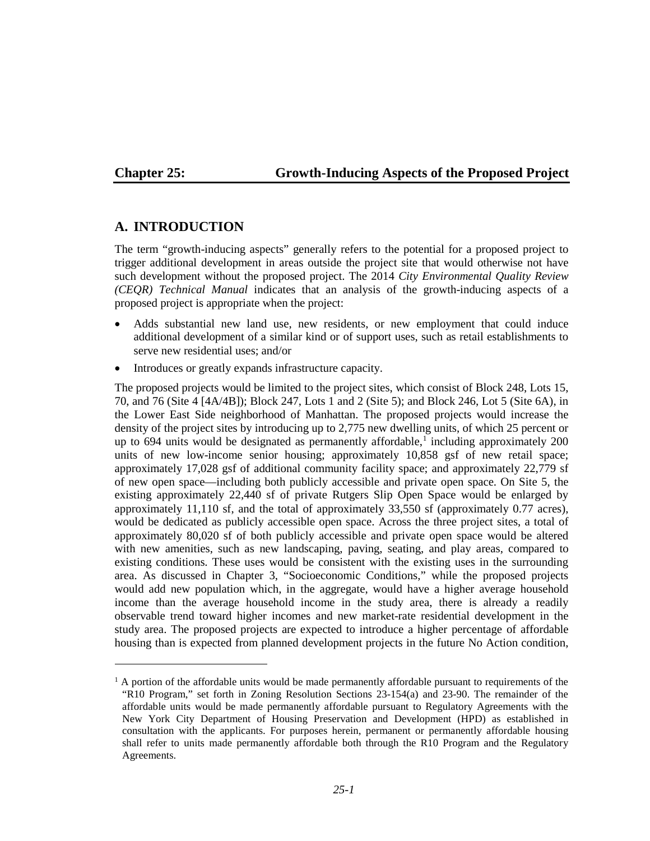$\overline{a}$ 

## **Chapter 25: Growth-Inducing Aspects of the Proposed Project**

## **A. INTRODUCTION**

The term "growth-inducing aspects" generally refers to the potential for a proposed project to trigger additional development in areas outside the project site that would otherwise not have such development without the proposed project. The 2014 *City Environmental Quality Review (CEQR) Technical Manual* indicates that an analysis of the growth-inducing aspects of a proposed project is appropriate when the project:

- Adds substantial new land use, new residents, or new employment that could induce additional development of a similar kind or of support uses, such as retail establishments to serve new residential uses; and/or
- Introduces or greatly expands infrastructure capacity.

The proposed projects would be limited to the project sites, which consist of Block 248, Lots 15, 70, and 76 (Site 4 [4A/4B]); Block 247, Lots 1 and 2 (Site 5); and Block 246, Lot 5 (Site 6A), in the Lower East Side neighborhood of Manhattan. The proposed projects would increase the density of the project sites by introducing up to 2,775 new dwelling units, of which 25 percent or up to 694 units would be designated as permanently affordable, [1](#page-0-0) including approximately 200 units of new low-income senior housing; approximately 10,858 gsf of new retail space; approximately 17,028 gsf of additional community facility space; and approximately 22,779 sf of new open space—including both publicly accessible and private open space. On Site 5, the existing approximately 22,440 sf of private Rutgers Slip Open Space would be enlarged by approximately 11,110 sf, and the total of approximately 33,550 sf (approximately 0.77 acres), would be dedicated as publicly accessible open space. Across the three project sites, a total of approximately 80,020 sf of both publicly accessible and private open space would be altered with new amenities, such as new landscaping, paving, seating, and play areas, compared to existing conditions. These uses would be consistent with the existing uses in the surrounding area. As discussed in Chapter 3, "Socioeconomic Conditions," while the proposed projects would add new population which, in the aggregate, would have a higher average household income than the average household income in the study area, there is already a readily observable trend toward higher incomes and new market-rate residential development in the study area. The proposed projects are expected to introduce a higher percentage of affordable housing than is expected from planned development projects in the future No Action condition,

<span id="page-0-0"></span> $<sup>1</sup>$  A portion of the affordable units would be made permanently affordable pursuant to requirements of the</sup> "R10 Program," set forth in Zoning Resolution Sections 23-154(a) and 23-90. The remainder of the affordable units would be made permanently affordable pursuant to Regulatory Agreements with the New York City Department of Housing Preservation and Development (HPD) as established in consultation with the applicants. For purposes herein, permanent or permanently affordable housing shall refer to units made permanently affordable both through the R10 Program and the Regulatory Agreements.